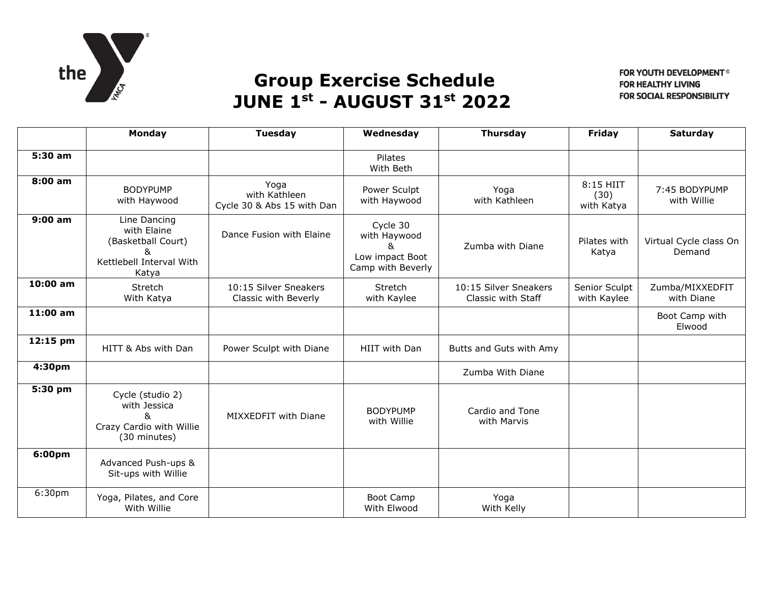

## **Group Exercise Schedule JUNE 1st - AUGUST 31st 2022**

FOR YOUTH DEVELOPMENT® **FOR HEALTHY LIVING FOR SOCIAL RESPONSIBILITY** 

|                    | Monday                                                                                      | <b>Tuesday</b>                                      | Wednesday                                                             | <b>Thursday</b>                             | Friday                          | <b>Saturday</b>                  |
|--------------------|---------------------------------------------------------------------------------------------|-----------------------------------------------------|-----------------------------------------------------------------------|---------------------------------------------|---------------------------------|----------------------------------|
| 5:30 am            |                                                                                             |                                                     | Pilates<br>With Beth                                                  |                                             |                                 |                                  |
| 8:00 am            | <b>BODYPUMP</b><br>with Haywood                                                             | Yoga<br>with Kathleen<br>Cycle 30 & Abs 15 with Dan | Power Sculpt<br>with Haywood                                          | Yoga<br>with Kathleen                       | 8:15 HIIT<br>(30)<br>with Katya | 7:45 BODYPUMP<br>with Willie     |
| $9:00$ am          | Line Dancing<br>with Elaine<br>(Basketball Court)<br>&<br>Kettlebell Interval With<br>Katya | Dance Fusion with Elaine                            | Cycle 30<br>with Haywood<br>&<br>Low impact Boot<br>Camp with Beverly | Zumba with Diane                            | Pilates with<br>Katya           | Virtual Cycle class On<br>Demand |
| $10:00$ am         | Stretch<br>With Katya                                                                       | 10:15 Silver Sneakers<br>Classic with Beverly       | Stretch<br>with Kaylee                                                | 10:15 Silver Sneakers<br>Classic with Staff | Senior Sculpt<br>with Kaylee    | Zumba/MIXXEDFIT<br>with Diane    |
| 11:00 am           |                                                                                             |                                                     |                                                                       |                                             |                                 | Boot Camp with<br>Elwood         |
| 12:15 pm           | HITT & Abs with Dan                                                                         | Power Sculpt with Diane                             | HIIT with Dan                                                         | Butts and Guts with Amy                     |                                 |                                  |
| 4:30pm             |                                                                                             |                                                     |                                                                       | Zumba With Diane                            |                                 |                                  |
| 5:30 pm            | Cycle (studio 2)<br>with Jessica<br>&<br>Crazy Cardio with Willie<br>(30 minutes)           | MIXXEDFIT with Diane                                | <b>BODYPUMP</b><br>with Willie                                        | Cardio and Tone<br>with Marvis              |                                 |                                  |
| 6:00pm             | Advanced Push-ups &<br>Sit-ups with Willie                                                  |                                                     |                                                                       |                                             |                                 |                                  |
| 6:30 <sub>pm</sub> | Yoga, Pilates, and Core<br>With Willie                                                      |                                                     | <b>Boot Camp</b><br>With Elwood                                       | Yoga<br>With Kelly                          |                                 |                                  |